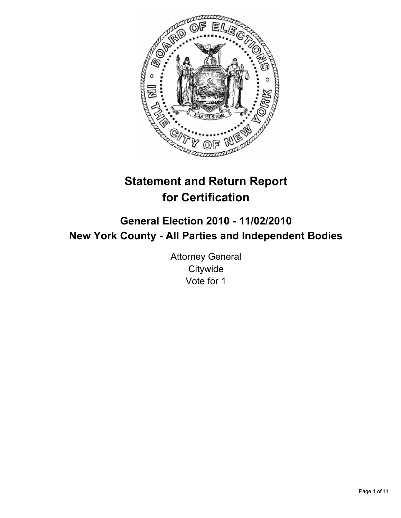

# **Statement and Return Report for Certification**

# **General Election 2010 - 11/02/2010 New York County - All Parties and Independent Bodies**

Attorney General **Citywide** Vote for 1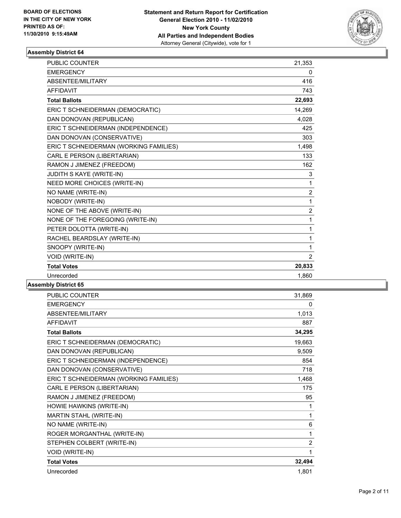

| PUBLIC COUNTER                         | 21,353         |
|----------------------------------------|----------------|
| <b>EMERGENCY</b>                       | 0              |
| ABSENTEE/MILITARY                      | 416            |
| <b>AFFIDAVIT</b>                       | 743            |
| <b>Total Ballots</b>                   | 22,693         |
| ERIC T SCHNEIDERMAN (DEMOCRATIC)       | 14,269         |
| DAN DONOVAN (REPUBLICAN)               | 4,028          |
| ERIC T SCHNEIDERMAN (INDEPENDENCE)     | 425            |
| DAN DONOVAN (CONSERVATIVE)             | 303            |
| ERIC T SCHNEIDERMAN (WORKING FAMILIES) | 1,498          |
| CARL E PERSON (LIBERTARIAN)            | 133            |
| RAMON J JIMENEZ (FREEDOM)              | 162            |
| JUDITH S KAYE (WRITE-IN)               | 3              |
| NEED MORE CHOICES (WRITE-IN)           | 1              |
| NO NAME (WRITE-IN)                     | $\overline{2}$ |
| NOBODY (WRITE-IN)                      | 1              |
| NONE OF THE ABOVE (WRITE-IN)           | $\overline{2}$ |
| NONE OF THE FOREGOING (WRITE-IN)       | 1              |
| PETER DOLOTTA (WRITE-IN)               | 1              |
| RACHEL BEARDSLAY (WRITE-IN)            | 1              |
| SNOOPY (WRITE-IN)                      | 1              |
| VOID (WRITE-IN)                        | $\overline{2}$ |
| <b>Total Votes</b>                     | 20,833         |
| Unrecorded                             | 1,860          |
|                                        |                |

| <b>PUBLIC COUNTER</b>                  | 31,869         |
|----------------------------------------|----------------|
| <b>EMERGENCY</b>                       | 0              |
| ABSENTEE/MILITARY                      | 1,013          |
| <b>AFFIDAVIT</b>                       | 887            |
| <b>Total Ballots</b>                   | 34,295         |
| ERIC T SCHNEIDERMAN (DEMOCRATIC)       | 19,663         |
| DAN DONOVAN (REPUBLICAN)               | 9,509          |
| ERIC T SCHNEIDERMAN (INDEPENDENCE)     | 854            |
| DAN DONOVAN (CONSERVATIVE)             | 718            |
| ERIC T SCHNEIDERMAN (WORKING FAMILIES) | 1,468          |
| CARL E PERSON (LIBERTARIAN)            | 175            |
| RAMON J JIMENEZ (FREEDOM)              | 95             |
| HOWIE HAWKINS (WRITE-IN)               | 1              |
| MARTIN STAHL (WRITE-IN)                | 1              |
| NO NAME (WRITE-IN)                     | 6              |
| ROGER MORGANTHAL (WRITE-IN)            | 1              |
| STEPHEN COLBERT (WRITE-IN)             | $\overline{2}$ |
| <b>VOID (WRITE-IN)</b>                 | 1              |
| <b>Total Votes</b>                     | 32,494         |
| Unrecorded                             | 1,801          |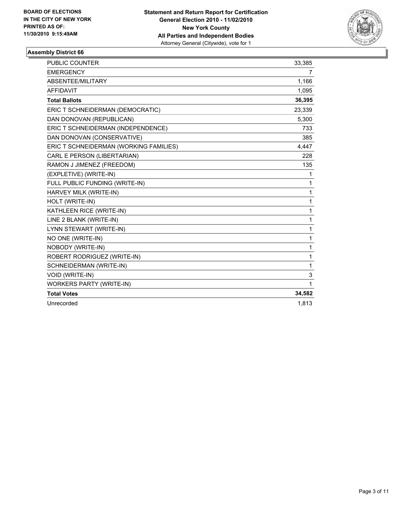

| PUBLIC COUNTER                         | 33,385       |
|----------------------------------------|--------------|
| <b>EMERGENCY</b>                       | 7            |
| ABSENTEE/MILITARY                      | 1,166        |
| <b>AFFIDAVIT</b>                       | 1,095        |
| <b>Total Ballots</b>                   | 36,395       |
| ERIC T SCHNEIDERMAN (DEMOCRATIC)       | 23,339       |
| DAN DONOVAN (REPUBLICAN)               | 5,300        |
| ERIC T SCHNEIDERMAN (INDEPENDENCE)     | 733          |
| DAN DONOVAN (CONSERVATIVE)             | 385          |
| ERIC T SCHNEIDERMAN (WORKING FAMILIES) | 4,447        |
| CARL E PERSON (LIBERTARIAN)            | 228          |
| RAMON J JIMENEZ (FREEDOM)              | 135          |
| (EXPLETIVE) (WRITE-IN)                 | 1            |
| FULL PUBLIC FUNDING (WRITE-IN)         | $\mathbf{1}$ |
| HARVEY MILK (WRITE-IN)                 | 1            |
| HOLT (WRITE-IN)                        | 1            |
| KATHLEEN RICE (WRITE-IN)               | $\mathbf{1}$ |
| LINE 2 BLANK (WRITE-IN)                | 1            |
| LYNN STEWART (WRITE-IN)                | 1            |
| NO ONE (WRITE-IN)                      | $\mathbf{1}$ |
| NOBODY (WRITE-IN)                      | 1            |
| ROBERT RODRIGUEZ (WRITE-IN)            | 1            |
| SCHNEIDERMAN (WRITE-IN)                | 1            |
| VOID (WRITE-IN)                        | 3            |
| <b>WORKERS PARTY (WRITE-IN)</b>        | 1            |
| <b>Total Votes</b>                     | 34,582       |
| Unrecorded                             | 1,813        |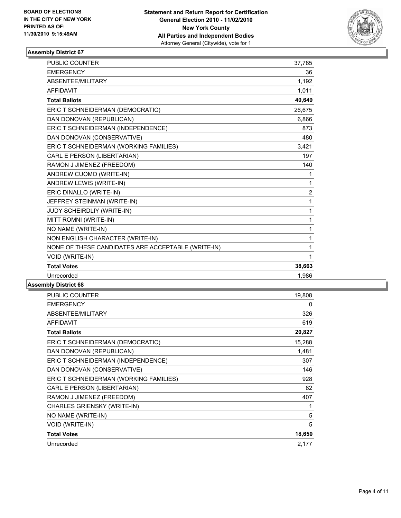

| <b>PUBLIC COUNTER</b>                              | 37,785         |
|----------------------------------------------------|----------------|
| <b>EMERGENCY</b>                                   | 36             |
| ABSENTEE/MILITARY                                  | 1,192          |
| <b>AFFIDAVIT</b>                                   | 1,011          |
| <b>Total Ballots</b>                               | 40,649         |
| ERIC T SCHNEIDERMAN (DEMOCRATIC)                   | 26,675         |
| DAN DONOVAN (REPUBLICAN)                           | 6,866          |
| ERIC T SCHNEIDERMAN (INDEPENDENCE)                 | 873            |
| DAN DONOVAN (CONSERVATIVE)                         | 480            |
| ERIC T SCHNEIDERMAN (WORKING FAMILIES)             | 3,421          |
| CARL E PERSON (LIBERTARIAN)                        | 197            |
| RAMON J JIMENEZ (FREEDOM)                          | 140            |
| ANDREW CUOMO (WRITE-IN)                            | 1              |
| ANDREW LEWIS (WRITE-IN)                            | 1              |
| ERIC DINALLO (WRITE-IN)                            | $\overline{2}$ |
| JEFFREY STEINMAN (WRITE-IN)                        | $\mathbf{1}$   |
| <b>JUDY SCHEIRDLIY (WRITE-IN)</b>                  | $\mathbf{1}$   |
| MITT ROMNI (WRITE-IN)                              | 1              |
| NO NAME (WRITE-IN)                                 | 1              |
| NON ENGLISH CHARACTER (WRITE-IN)                   | 1              |
| NONE OF THESE CANDIDATES ARE ACCEPTABLE (WRITE-IN) | 1              |
| VOID (WRITE-IN)                                    | 1              |
| <b>Total Votes</b>                                 | 38,663         |
| Unrecorded                                         | 1,986          |
|                                                    |                |

| PUBLIC COUNTER                         | 19,808 |
|----------------------------------------|--------|
| <b>EMERGENCY</b>                       | 0      |
| ABSENTEE/MILITARY                      | 326    |
| <b>AFFIDAVIT</b>                       | 619    |
| <b>Total Ballots</b>                   | 20,827 |
| ERIC T SCHNEIDERMAN (DEMOCRATIC)       | 15,288 |
| DAN DONOVAN (REPUBLICAN)               | 1,481  |
| ERIC T SCHNEIDERMAN (INDEPENDENCE)     | 307    |
| DAN DONOVAN (CONSERVATIVE)             | 146    |
| ERIC T SCHNEIDERMAN (WORKING FAMILIES) | 928    |
| CARL E PERSON (LIBERTARIAN)            | 82     |
| RAMON J JIMENEZ (FREEDOM)              | 407    |
| <b>CHARLES GRIENSKY (WRITE-IN)</b>     | 1      |
| NO NAME (WRITE-IN)                     | 5      |
| VOID (WRITE-IN)                        | 5      |
| <b>Total Votes</b>                     | 18,650 |
| Unrecorded                             | 2,177  |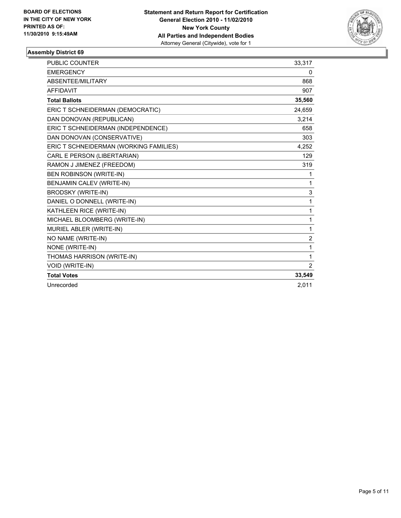

| <b>PUBLIC COUNTER</b>                  | 33,317         |
|----------------------------------------|----------------|
| <b>EMERGENCY</b>                       | 0              |
| ABSENTEE/MILITARY                      | 868            |
| <b>AFFIDAVIT</b>                       | 907            |
| <b>Total Ballots</b>                   | 35,560         |
| ERIC T SCHNEIDERMAN (DEMOCRATIC)       | 24,659         |
| DAN DONOVAN (REPUBLICAN)               | 3,214          |
| ERIC T SCHNEIDERMAN (INDEPENDENCE)     | 658            |
| DAN DONOVAN (CONSERVATIVE)             | 303            |
| ERIC T SCHNEIDERMAN (WORKING FAMILIES) | 4,252          |
| CARL E PERSON (LIBERTARIAN)            | 129            |
| RAMON J JIMENEZ (FREEDOM)              | 319            |
| <b>BEN ROBINSON (WRITE-IN)</b>         | 1              |
| BENJAMIN CALEV (WRITE-IN)              | 1              |
| <b>BRODSKY (WRITE-IN)</b>              | 3              |
| DANIEL O DONNELL (WRITE-IN)            | 1              |
| KATHLEEN RICE (WRITE-IN)               | 1              |
| MICHAEL BLOOMBERG (WRITE-IN)           | 1              |
| MURIEL ABLER (WRITE-IN)                | 1              |
| NO NAME (WRITE-IN)                     | $\overline{2}$ |
| NONE (WRITE-IN)                        | 1              |
| THOMAS HARRISON (WRITE-IN)             | 1              |
| <b>VOID (WRITE-IN)</b>                 | $\overline{2}$ |
| <b>Total Votes</b>                     | 33,549         |
| Unrecorded                             | 2.011          |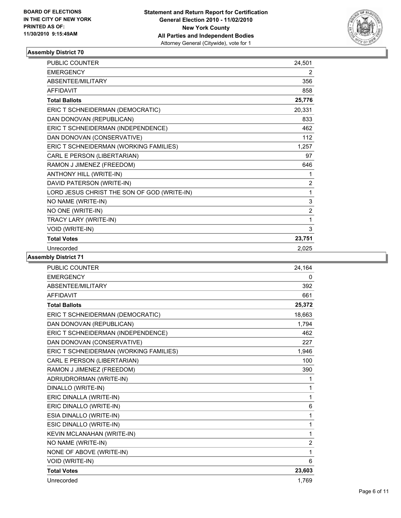

| PUBLIC COUNTER                              | 24,501         |
|---------------------------------------------|----------------|
| <b>EMERGENCY</b>                            | 2              |
| ABSENTEE/MILITARY                           | 356            |
| <b>AFFIDAVIT</b>                            | 858            |
| <b>Total Ballots</b>                        | 25,776         |
| ERIC T SCHNEIDERMAN (DEMOCRATIC)            | 20,331         |
| DAN DONOVAN (REPUBLICAN)                    | 833            |
| ERIC T SCHNEIDERMAN (INDEPENDENCE)          | 462            |
| DAN DONOVAN (CONSERVATIVE)                  | 112            |
| ERIC T SCHNEIDERMAN (WORKING FAMILIES)      | 1,257          |
| CARL E PERSON (LIBERTARIAN)                 | 97             |
| RAMON J JIMENEZ (FREEDOM)                   | 646            |
| ANTHONY HILL (WRITE-IN)                     | 1              |
| DAVID PATERSON (WRITE-IN)                   | $\overline{2}$ |
| LORD JESUS CHRIST THE SON OF GOD (WRITE-IN) | $\mathbf{1}$   |
| NO NAME (WRITE-IN)                          | 3              |
| NO ONE (WRITE-IN)                           | 2              |
| TRACY LARY (WRITE-IN)                       | 1              |
| VOID (WRITE-IN)                             | 3              |
| <b>Total Votes</b>                          | 23,751         |
| Unrecorded                                  | 2,025          |

| <b>PUBLIC COUNTER</b>                  | 24.164         |
|----------------------------------------|----------------|
| <b>EMERGENCY</b>                       | 0              |
| ABSENTEE/MILITARY                      | 392            |
| <b>AFFIDAVIT</b>                       | 661            |
| <b>Total Ballots</b>                   | 25,372         |
| ERIC T SCHNEIDERMAN (DEMOCRATIC)       | 18,663         |
| DAN DONOVAN (REPUBLICAN)               | 1,794          |
| ERIC T SCHNEIDERMAN (INDEPENDENCE)     | 462            |
| DAN DONOVAN (CONSERVATIVE)             | 227            |
| ERIC T SCHNEIDERMAN (WORKING FAMILIES) | 1,946          |
| CARL E PERSON (LIBERTARIAN)            | 100            |
| RAMON J JIMENEZ (FREEDOM)              | 390            |
| ADRIUDRORMAN (WRITE-IN)                | 1              |
| DINALLO (WRITE-IN)                     | 1              |
| ERIC DINALLA (WRITE-IN)                | 1              |
| ERIC DINALLO (WRITE-IN)                | 6              |
| ESIA DINALLO (WRITE-IN)                | 1              |
| ESIC DINALLO (WRITE-IN)                | 1              |
| KEVIN MCLANAHAN (WRITE-IN)             | 1              |
| NO NAME (WRITE-IN)                     | $\overline{2}$ |
| NONE OF ABOVE (WRITE-IN)               | 1              |
| VOID (WRITE-IN)                        | 6              |
| <b>Total Votes</b>                     | 23,603         |
| Unrecorded                             | 1,769          |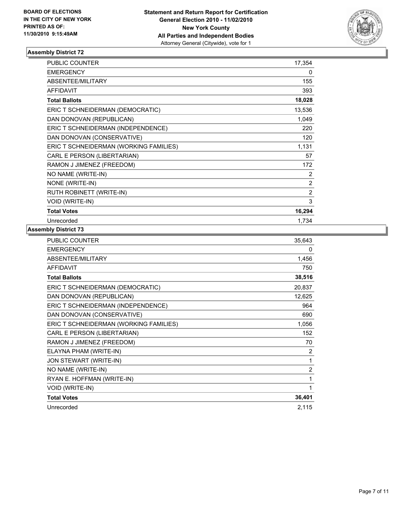

| <b>PUBLIC COUNTER</b>                  | 17,354         |
|----------------------------------------|----------------|
| <b>EMERGENCY</b>                       | 0              |
| ABSENTEE/MILITARY                      | 155            |
| <b>AFFIDAVIT</b>                       | 393            |
| <b>Total Ballots</b>                   | 18,028         |
| ERIC T SCHNEIDERMAN (DEMOCRATIC)       | 13,536         |
| DAN DONOVAN (REPUBLICAN)               | 1,049          |
| ERIC T SCHNEIDERMAN (INDEPENDENCE)     | 220            |
| DAN DONOVAN (CONSERVATIVE)             | 120            |
| ERIC T SCHNEIDERMAN (WORKING FAMILIES) | 1,131          |
| CARL E PERSON (LIBERTARIAN)            | 57             |
| RAMON J JIMENEZ (FREEDOM)              | 172            |
| NO NAME (WRITE-IN)                     | 2              |
| NONE (WRITE-IN)                        | $\overline{2}$ |
| RUTH ROBINETT (WRITE-IN)               | $\overline{2}$ |
| VOID (WRITE-IN)                        | 3              |
| <b>Total Votes</b>                     | 16,294         |
| Unrecorded                             | 1.734          |

| PUBLIC COUNTER                         | 35,643         |
|----------------------------------------|----------------|
| <b>EMERGENCY</b>                       | 0              |
| ABSENTEE/MILITARY                      | 1,456          |
| <b>AFFIDAVIT</b>                       | 750            |
| <b>Total Ballots</b>                   | 38,516         |
| ERIC T SCHNEIDERMAN (DEMOCRATIC)       | 20,837         |
| DAN DONOVAN (REPUBLICAN)               | 12,625         |
| ERIC T SCHNEIDERMAN (INDEPENDENCE)     | 964            |
| DAN DONOVAN (CONSERVATIVE)             | 690            |
| ERIC T SCHNEIDERMAN (WORKING FAMILIES) | 1,056          |
| CARL E PERSON (LIBERTARIAN)            | 152            |
| RAMON J JIMENEZ (FREEDOM)              | 70             |
| ELAYNA PHAM (WRITE-IN)                 | 2              |
| <b>JON STEWART (WRITE-IN)</b>          | 1              |
| NO NAME (WRITE-IN)                     | $\overline{2}$ |
| RYAN E. HOFFMAN (WRITE-IN)             | 1              |
| VOID (WRITE-IN)                        | 1              |
| <b>Total Votes</b>                     | 36,401         |
| Unrecorded                             | 2,115          |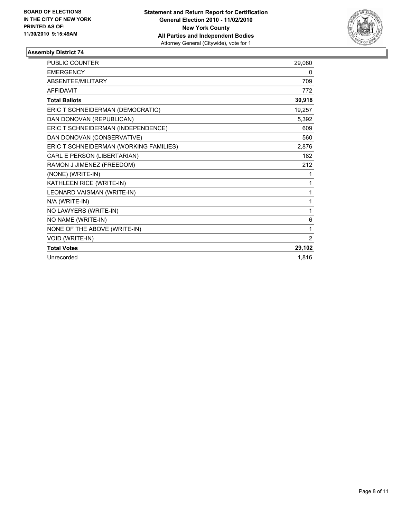

| <b>PUBLIC COUNTER</b>                  | 29,080 |
|----------------------------------------|--------|
| <b>EMERGENCY</b>                       | 0      |
| <b>ABSENTEE/MILITARY</b>               | 709    |
| <b>AFFIDAVIT</b>                       | 772    |
| <b>Total Ballots</b>                   | 30,918 |
| ERIC T SCHNEIDERMAN (DEMOCRATIC)       | 19,257 |
| DAN DONOVAN (REPUBLICAN)               | 5,392  |
| ERIC T SCHNEIDERMAN (INDEPENDENCE)     | 609    |
| DAN DONOVAN (CONSERVATIVE)             | 560    |
| ERIC T SCHNEIDERMAN (WORKING FAMILIES) | 2,876  |
| CARL E PERSON (LIBERTARIAN)            | 182    |
| RAMON J JIMENEZ (FREEDOM)              | 212    |
| (NONE) (WRITE-IN)                      | 1      |
| KATHLEEN RICE (WRITE-IN)               | 1      |
| LEONARD VAISMAN (WRITE-IN)             | 1      |
| N/A (WRITE-IN)                         | 1      |
| NO LAWYERS (WRITE-IN)                  | 1      |
| NO NAME (WRITE-IN)                     | 6      |
| NONE OF THE ABOVE (WRITE-IN)           | 1      |
| VOID (WRITE-IN)                        | 2      |
| <b>Total Votes</b>                     | 29,102 |
| Unrecorded                             | 1.816  |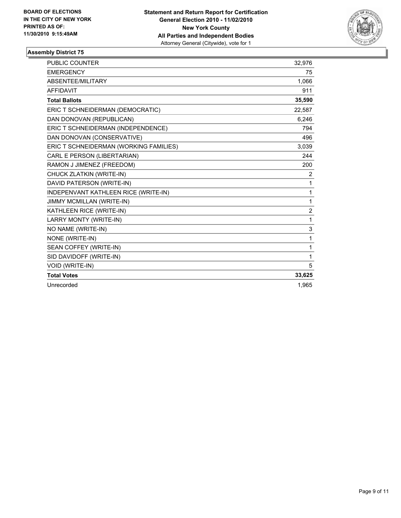

| <b>PUBLIC COUNTER</b>                  | 32,976           |
|----------------------------------------|------------------|
| <b>EMERGENCY</b>                       | 75               |
| ABSENTEE/MILITARY                      | 1,066            |
| <b>AFFIDAVIT</b>                       | 911              |
| <b>Total Ballots</b>                   | 35,590           |
| ERIC T SCHNEIDERMAN (DEMOCRATIC)       | 22,587           |
| DAN DONOVAN (REPUBLICAN)               | 6,246            |
| ERIC T SCHNEIDERMAN (INDEPENDENCE)     | 794              |
| DAN DONOVAN (CONSERVATIVE)             | 496              |
| ERIC T SCHNEIDERMAN (WORKING FAMILIES) | 3,039            |
| CARL E PERSON (LIBERTARIAN)            | 244              |
| RAMON J JIMENEZ (FREEDOM)              | 200              |
| CHUCK ZLATKIN (WRITE-IN)               | 2                |
| DAVID PATERSON (WRITE-IN)              | 1                |
| INDEPENVANT KATHLEEN RICE (WRITE-IN)   | 1                |
| JIMMY MCMILLAN (WRITE-IN)              | 1                |
| KATHLEEN RICE (WRITE-IN)               | $\boldsymbol{2}$ |
| LARRY MONTY (WRITE-IN)                 | 1                |
| NO NAME (WRITE-IN)                     | 3                |
| NONE (WRITE-IN)                        | 1                |
| SEAN COFFEY (WRITE-IN)                 | 1                |
| SID DAVIDOFF (WRITE-IN)                | 1                |
| <b>VOID (WRITE-IN)</b>                 | 5                |
| <b>Total Votes</b>                     | 33,625           |
| Unrecorded                             | 1.965            |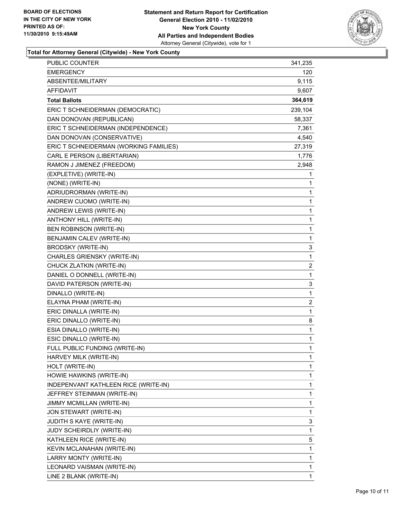

## **Total for Attorney General (Citywide) - New York County**

| <b>PUBLIC COUNTER</b>                  | 341,235 |
|----------------------------------------|---------|
| <b>EMERGENCY</b>                       | 120     |
| ABSENTEE/MILITARY                      | 9,115   |
| AFFIDAVIT                              | 9,607   |
| <b>Total Ballots</b>                   | 364,619 |
| ERIC T SCHNEIDERMAN (DEMOCRATIC)       | 239,104 |
| DAN DONOVAN (REPUBLICAN)               | 58,337  |
| ERIC T SCHNEIDERMAN (INDEPENDENCE)     | 7,361   |
| DAN DONOVAN (CONSERVATIVE)             | 4,540   |
| ERIC T SCHNEIDERMAN (WORKING FAMILIES) | 27,319  |
| CARL E PERSON (LIBERTARIAN)            | 1,776   |
| RAMON J JIMENEZ (FREEDOM)              | 2,948   |
| (EXPLETIVE) (WRITE-IN)                 | 1       |
| (NONE) (WRITE-IN)                      | 1       |
| ADRIUDRORMAN (WRITE-IN)                | 1       |
| ANDREW CUOMO (WRITE-IN)                | 1       |
| ANDREW LEWIS (WRITE-IN)                | 1       |
| ANTHONY HILL (WRITE-IN)                | 1       |
| BEN ROBINSON (WRITE-IN)                | 1       |
| BENJAMIN CALEV (WRITE-IN)              | 1       |
| <b>BRODSKY (WRITE-IN)</b>              | 3       |
| CHARLES GRIENSKY (WRITE-IN)            | 1       |
| CHUCK ZLATKIN (WRITE-IN)               | 2       |
| DANIEL O DONNELL (WRITE-IN)            | 1       |
| DAVID PATERSON (WRITE-IN)              | 3       |
| DINALLO (WRITE-IN)                     | 1       |
| ELAYNA PHAM (WRITE-IN)                 | 2       |
| ERIC DINALLA (WRITE-IN)                | 1       |
| ERIC DINALLO (WRITE-IN)                | 8       |
| ESIA DINALLO (WRITE-IN)                | 1       |
| ESIC DINALLO (WRITE-IN)                | 1       |
| FULL PUBLIC FUNDING (WRITE-IN)         | 1       |
| HARVEY MILK (WRITE-IN)                 | 1       |
| HOLT (WRITE-IN)                        | 1       |
| HOWIE HAWKINS (WRITE-IN)               | 1       |
| INDEPENVANT KATHLEEN RICE (WRITE-IN)   | 1       |
| JEFFREY STEINMAN (WRITE-IN)            | 1       |
| JIMMY MCMILLAN (WRITE-IN)              | 1       |
| JON STEWART (WRITE-IN)                 | 1       |
| JUDITH S KAYE (WRITE-IN)               | 3       |
| JUDY SCHEIRDLIY (WRITE-IN)             | 1       |
| KATHLEEN RICE (WRITE-IN)               | 5       |
| KEVIN MCLANAHAN (WRITE-IN)             | 1       |
| LARRY MONTY (WRITE-IN)                 | 1       |
| LEONARD VAISMAN (WRITE-IN)             | 1       |
| LINE 2 BLANK (WRITE-IN)                | 1       |
|                                        |         |